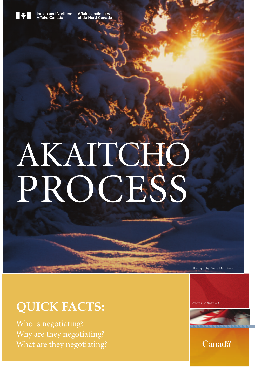

Indian and Northern<br>Affairs Canada

Affaires indiennes<br>et du Nord Canada

# AKAITCHO PROCESS

### **QUICK FACTS:**

Photography: Tessa Macintosh

 $OS-Y271-000-FF-A$